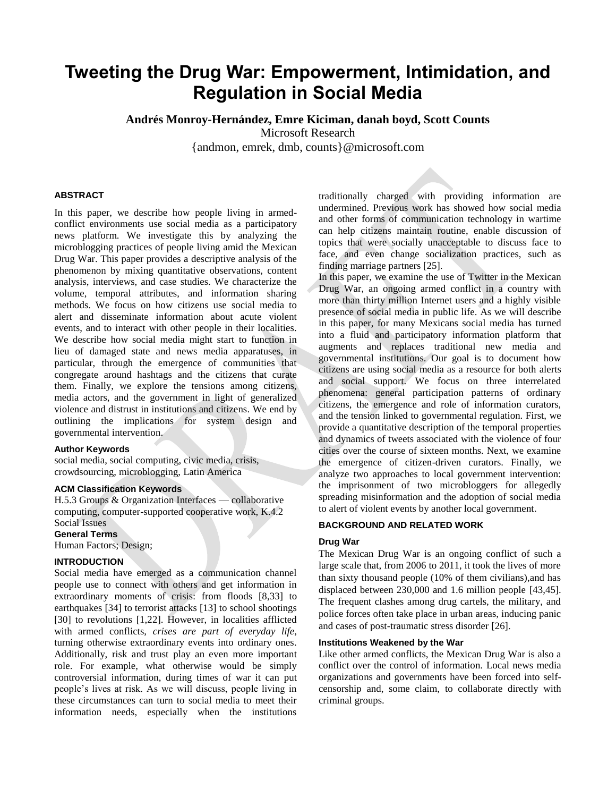# **Tweeting the Drug War: Empowerment, Intimidation, and Regulation in Social Media**

**Andrés Monroy-Hernández, Emre Kiciman, danah boyd, Scott Counts**

Microsoft Research

{andmon, emrek, dmb, counts}@microsoft.com

## **ABSTRACT**

In this paper, we describe how people living in armedconflict environments use social media as a participatory news platform. We investigate this by analyzing the microblogging practices of people living amid the Mexican Drug War. This paper provides a descriptive analysis of the phenomenon by mixing quantitative observations, content analysis, interviews, and case studies. We characterize the volume, temporal attributes, and information sharing methods. We focus on how citizens use social media to alert and disseminate information about acute violent events, and to interact with other people in their localities. We describe how social media might start to function in lieu of damaged state and news media apparatuses, in particular, through the emergence of communities that congregate around hashtags and the citizens that curate them. Finally, we explore the tensions among citizens, media actors, and the government in light of generalized violence and distrust in institutions and citizens. We end by outlining the implications for system design and governmental intervention.

## **Author Keywords**

social media, social computing, civic media, crisis, crowdsourcing, microblogging, Latin America

#### **ACM Classification Keywords**

H.5.3 Groups & Organization Interfaces — collaborative computing, computer-supported cooperative work, K.4.2 Social Issues

# **General Terms**

Human Factors; Design;

## **INTRODUCTION**

Social media have emerged as a communication channel people use to connect with others and get information in extraordinary moments of crisis: from floods [8,33] to earthquakes [34] to terrorist attacks [13] to school shootings [30] to revolutions [1,22]. However, in localities afflicted with armed conflicts, *crises are part of everyday life*, turning otherwise extraordinary events into ordinary ones. Additionally, risk and trust play an even more important role. For example, what otherwise would be simply controversial information, during times of war it can put people's lives at risk. As we will discuss, people living in these circumstances can turn to social media to meet their information needs, especially when the institutions

traditionally charged with providing information are undermined. Previous work has showed how social media and other forms of communication technology in wartime can help citizens maintain routine, enable discussion of topics that were socially unacceptable to discuss face to face, and even change socialization practices, such as finding marriage partners [25].

In this paper, we examine the use of Twitter in the Mexican Drug War, an ongoing armed conflict in a country with more than thirty million Internet users and a highly visible presence of social media in public life. As we will describe in this paper, for many Mexicans social media has turned into a fluid and participatory information platform that augments and replaces traditional new media and governmental institutions. Our goal is to document how citizens are using social media as a resource for both alerts and social support. We focus on three interrelated phenomena: general participation patterns of ordinary citizens, the emergence and role of information curators, and the tension linked to governmental regulation. First, we provide a quantitative description of the temporal properties and dynamics of tweets associated with the violence of four cities over the course of sixteen months. Next, we examine the emergence of citizen-driven curators. Finally, we analyze two approaches to local government intervention: the imprisonment of two microbloggers for allegedly spreading misinformation and the adoption of social media to alert of violent events by another local government.

## **BACKGROUND AND RELATED WORK**

## **Drug War**

The Mexican Drug War is an ongoing conflict of such a large scale that, from 2006 to 2011, it took the lives of more than sixty thousand people (10% of them civilians),and has displaced between 230,000 and 1.6 million people [43,45]. The frequent clashes among drug cartels, the military, and police forces often take place in urban areas, inducing panic and cases of post-traumatic stress disorder [26].

#### **Institutions Weakened by the War**

Like other armed conflicts, the Mexican Drug War is also a conflict over the control of information. Local news media organizations and governments have been forced into selfcensorship and, some claim, to collaborate directly with criminal groups.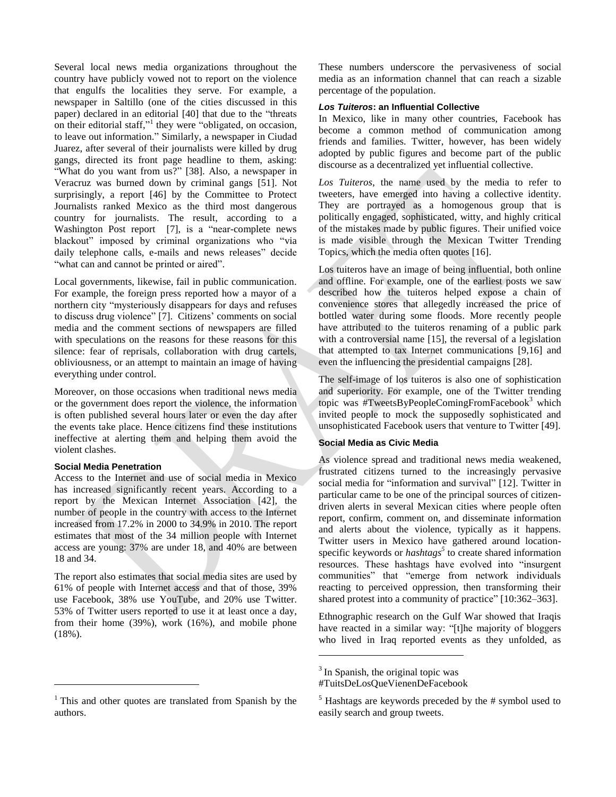Several local news media organizations throughout the country have publicly vowed not to report on the violence that engulfs the localities they serve. For example, a newspaper in Saltillo (one of the cities discussed in this paper) declared in an editorial [40] that due to the "threats on their editorial staff,"<sup>1</sup> they were "obligated, on occasion, to leave out information." Similarly, a newspaper in Ciudad Juarez, after several of their journalists were killed by drug gangs, directed its front page headline to them, asking: "What do you want from us?" [38]. Also, a newspaper in Veracruz was burned down by criminal gangs [51]. Not surprisingly, a report [46] by the Committee to Protect Journalists ranked Mexico as the third most dangerous country for journalists. The result, according to a Washington Post report [7], is a "near-complete news blackout" imposed by criminal organizations who "via daily telephone calls, e-mails and news releases" decide "what can and cannot be printed or aired".

Local governments, likewise, fail in public communication. For example, the foreign press reported how a mayor of a northern city "mysteriously disappears for days and refuses to discuss drug violence" [7]. Citizens' comments on social media and the comment sections of newspapers are filled with speculations on the reasons for these reasons for this silence: fear of reprisals, collaboration with drug cartels, obliviousness, or an attempt to maintain an image of having everything under control.

Moreover, on those occasions when traditional news media or the government does report the violence, the information is often published several hours later or even the day after the events take place. Hence citizens find these institutions ineffective at alerting them and helping them avoid the violent clashes.

#### **Social Media Penetration**

 $\overline{a}$ 

Access to the Internet and use of social media in Mexico has increased significantly recent years. According to a report by the Mexican Internet Association [42], the number of people in the country with access to the Internet increased from 17.2% in 2000 to 34.9% in 2010. The report estimates that most of the 34 million people with Internet access are young: 37% are under 18, and 40% are between 18 and 34.

The report also estimates that social media sites are used by 61% of people with Internet access and that of those, 39% use Facebook, 38% use YouTube, and 20% use Twitter. 53% of Twitter users reported to use it at least once a day, from their home (39%), work (16%), and mobile phone (18%).

 $1$  This and other quotes are translated from Spanish by the authors.

These numbers underscore the pervasiveness of social media as an information channel that can reach a sizable percentage of the population.

## *Los Tuiteros***: an Influential Collective**

In Mexico, like in many other countries, Facebook has become a common method of communication among friends and families. Twitter, however, has been widely adopted by public figures and become part of the public discourse as a decentralized yet influential collective.

*Los Tuiteros*, the name used by the media to refer to tweeters, have emerged into having a collective identity. They are portrayed as a homogenous group that is politically engaged, sophisticated, witty, and highly critical of the mistakes made by public figures. Their unified voice is made visible through the Mexican Twitter Trending Topics, which the media often quotes [16].

Los tuiteros have an image of being influential, both online and offline. For example, one of the earliest posts we saw described how the tuiteros helped expose a chain of convenience stores that allegedly increased the price of bottled water during some floods. More recently people have attributed to the tuiteros renaming of a public park with a controversial name [15], the reversal of a legislation that attempted to tax Internet communications [9,16] and even the influencing the presidential campaigns [28].

The self-image of los tuiteros is also one of sophistication and superiority. For example, one of the Twitter trending topic was  $\text{HT}$ weetsByPeopleComingFromFacebook<sup>3</sup> which invited people to mock the supposedly sophisticated and unsophisticated Facebook users that venture to Twitter [49].

## **Social Media as Civic Media**

As violence spread and traditional news media weakened, frustrated citizens turned to the increasingly pervasive social media for "information and survival" [12]. Twitter in particular came to be one of the principal sources of citizendriven alerts in several Mexican cities where people often report, confirm, comment on, and disseminate information and alerts about the violence, typically as it happens. Twitter users in Mexico have gathered around locationspecific keywords or *hashtags*<sup>5</sup> to create shared information resources. These hashtags have evolved into "insurgent communities" that "emerge from network individuals reacting to perceived oppression, then transforming their shared protest into a community of practice" [10:362–363].

Ethnographic research on the Gulf War showed that Iraqis have reacted in a similar way: "[t]he majority of bloggers who lived in Iraq reported events as they unfolded, as

l

<sup>&</sup>lt;sup>3</sup> In Spanish, the original topic was

<sup>#</sup>TuitsDeLosQueVienenDeFacebook

 $<sup>5</sup>$  Hashtags are keywords preceded by the # symbol used to</sup> easily search and group tweets.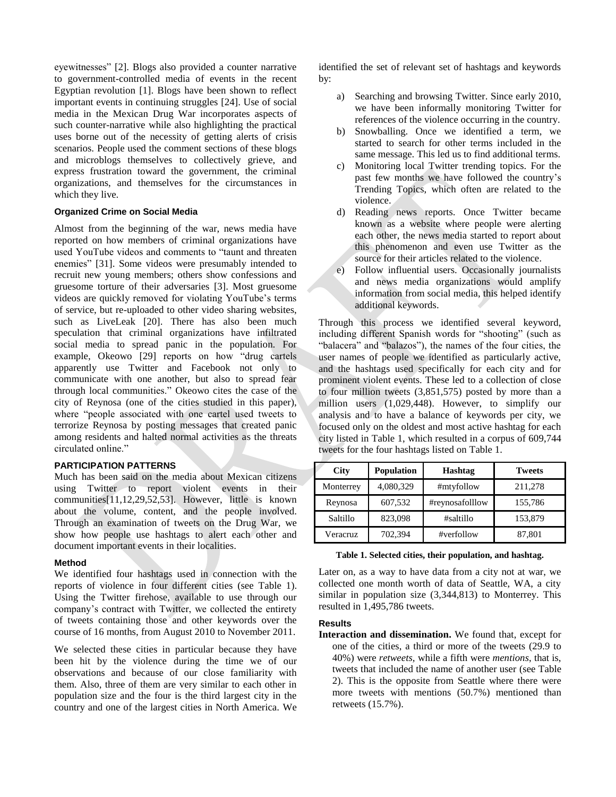eyewitnesses" [2]. Blogs also provided a counter narrative to government-controlled media of events in the recent Egyptian revolution [1]. Blogs have been shown to reflect important events in continuing struggles [24]. Use of social media in the Mexican Drug War incorporates aspects of such counter-narrative while also highlighting the practical uses borne out of the necessity of getting alerts of crisis scenarios. People used the comment sections of these blogs and microblogs themselves to collectively grieve, and express frustration toward the government, the criminal organizations, and themselves for the circumstances in which they live.

#### **Organized Crime on Social Media**

Almost from the beginning of the war, news media have reported on how members of criminal organizations have used YouTube videos and comments to "taunt and threaten enemies" [31]. Some videos were presumably intended to recruit new young members; others show confessions and gruesome torture of their adversaries [3]. Most gruesome videos are quickly removed for violating YouTube's terms of service, but re-uploaded to other video sharing websites, such as LiveLeak [20]. There has also been much speculation that criminal organizations have infiltrated social media to spread panic in the population. For example, Okeowo [29] reports on how "drug cartels apparently use Twitter and Facebook not only to communicate with one another, but also to spread fear through local communities." Okeowo cites the case of the city of Reynosa (one of the cities studied in this paper), where "people associated with one cartel used tweets to terrorize Reynosa by posting messages that created panic among residents and halted normal activities as the threats circulated online."

## **PARTICIPATION PATTERNS**

Much has been said on the media about Mexican citizens using Twitter to report violent events in their communities[11,12,29,52,53]. However, little is known about the volume, content, and the people involved. Through an examination of tweets on the Drug War, we show how people use hashtags to alert each other and document important events in their localities.

#### **Method**

We identified four hashtags used in connection with the reports of violence in four different cities (see [Table 1\)](#page-2-0). Using the Twitter firehose, available to use through our company's contract with Twitter, we collected the entirety of tweets containing those and other keywords over the course of 16 months, from August 2010 to November 2011.

We selected these cities in particular because they have been hit by the violence during the time we of our observations and because of our close familiarity with them. Also, three of them are very similar to each other in population size and the four is the third largest city in the country and one of the largest cities in North America. We

identified the set of relevant set of hashtags and keywords by:

- a) Searching and browsing Twitter. Since early 2010, we have been informally monitoring Twitter for references of the violence occurring in the country.
- b) Snowballing. Once we identified a term, we started to search for other terms included in the same message. This led us to find additional terms.
- c) Monitoring local Twitter trending topics. For the past few months we have followed the country's Trending Topics, which often are related to the violence.
- d) Reading news reports. Once Twitter became known as a website where people were alerting each other, the news media started to report about this phenomenon and even use Twitter as the source for their articles related to the violence.
- e) Follow influential users. Occasionally journalists and news media organizations would amplify information from social media, this helped identify additional keywords.

Through this process we identified several keyword, including different Spanish words for "shooting" (such as "balacera" and "balazos"), the names of the four cities, the user names of people we identified as particularly active, and the hashtags used specifically for each city and for prominent violent events. These led to a collection of close to four million tweets (3,851,575) posted by more than a million users (1,029,448). However, to simplify our analysis and to have a balance of keywords per city, we focused only on the oldest and most active hashtag for each city listed in [Table 1,](#page-2-0) which resulted in a corpus of 609,744 tweets for the four hashtags listed o[n Table 1.](#page-2-0)

| <b>City</b> | <b>Population</b> | <b>Hashtag</b>  | <b>Tweets</b> |
|-------------|-------------------|-----------------|---------------|
| Monterrey   | 4,080,329         | #mtyfollow      | 211,278       |
| Reynosa     | 607,532           | #reynosafolllow | 155,786       |
| Saltillo    | 823,098           | #saltillo       | 153,879       |
| Veracruz    | 702,394           | #verfollow      | 87,801        |

<span id="page-2-0"></span>**Table 1. Selected cities, their population, and hashtag.**

Later on, as a way to have data from a city not at war, we collected one month worth of data of Seattle, WA, a city similar in population size (3,344,813) to Monterrey. This resulted in 1,495,786 tweets.

#### **Results**

**Interaction and dissemination.** We found that, except for one of the cities, a third or more of the tweets (29.9 to 40%) were *retweets,* while a fifth were *mentions*, that is, tweets that included the name of another user (see [Table](#page-3-0)  [2\)](#page-3-0). This is the opposite from Seattle where there were more tweets with mentions (50.7%) mentioned than retweets (15.7%).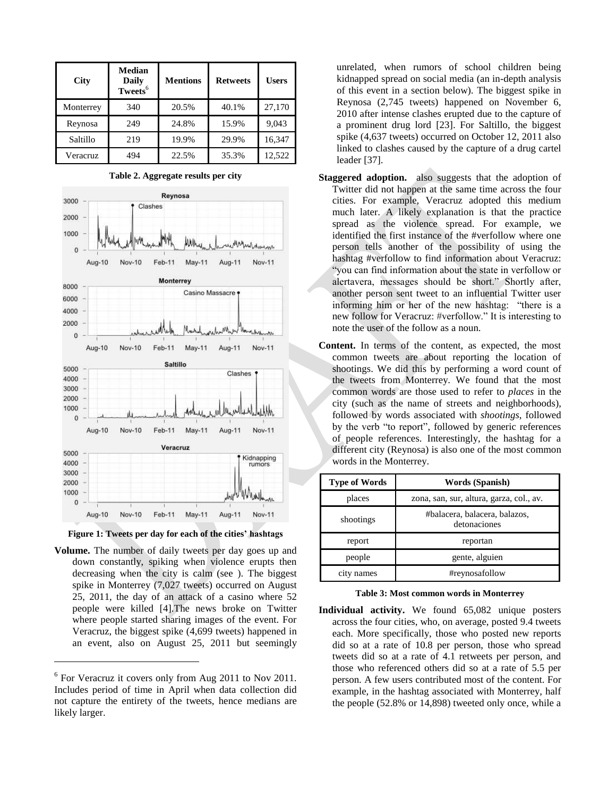| City      | Median<br><b>Daily</b><br>Tweets <sup>6</sup> | <b>Mentions</b> | <b>Retweets</b> | <b>Users</b> |
|-----------|-----------------------------------------------|-----------------|-----------------|--------------|
| Monterrey | 340                                           | 20.5%           | 40.1%           | 27,170       |
| Reynosa   | 249                                           | 24.8%           | 15.9%           | 9,043        |
| Saltillo  | 219                                           | 19.9%           | 29.9%           | 16,347       |
| Veracruz  | 494                                           | 22.5%           | 35.3%           | 12,522       |

<span id="page-3-0"></span>

**Table 2. Aggregate results per city**

**Figure 1: Tweets per day for each of the cities' hashtags**

**Volume.** The number of daily tweets per day goes up and down constantly, spiking when violence erupts then decreasing when the city is calm (see ). The biggest spike in Monterrey (7,027 tweets) occurred on August 25, 2011, the day of an attack of a casino where 52 people were killed [4].The news broke on Twitter where people started sharing images of the event. For Veracruz, the biggest spike (4,699 tweets) happened in an event, also on August 25, 2011 but seemingly

 $\overline{\phantom{a}}$ 

unrelated, when rumors of school children being kidnapped spread on social media (an in-depth analysis of this event in a section below). The biggest spike in Reynosa (2,745 tweets) happened on November 6, 2010 after intense clashes erupted due to the capture of a prominent drug lord [23]. For Saltillo, the biggest spike (4,637 tweets) occurred on October 12, 2011 also linked to clashes caused by the capture of a drug cartel leader [37].

- **Staggered adoption.** also suggests that the adoption of Twitter did not happen at the same time across the four cities. For example, Veracruz adopted this medium much later. A likely explanation is that the practice spread as the violence spread. For example, we identified the first instance of the #verfollow where one person tells another of the possibility of using the hashtag #verfollow to find information about Veracruz: "you can find information about the state in verfollow or alertavera, messages should be short." Shortly after, another person sent tweet to an influential Twitter user informing him or her of the new hashtag: "there is a new follow for Veracruz: #verfollow." It is interesting to note the user of the follow as a noun.
- **Content.** In terms of the content, as expected, the most common tweets are about reporting the location of shootings. We did this by performing a word count of the tweets from Monterrey. We found that the most common words are those used to refer to *places* in the city (such as the name of streets and neighborhoods), followed by words associated with *shootings*, followed by the verb "to report", followed by generic references of people references. Interestingly, the hashtag for a different city (Reynosa) is also one of the most common words in the Monterrey.

| <b>Type of Words</b> | Words (Spanish)                               |  |
|----------------------|-----------------------------------------------|--|
| places               | zona, san, sur, altura, garza, col., av.      |  |
| shootings            | #balacera, balacera, balazos,<br>detonaciones |  |
| report               | reportan                                      |  |
| people               | gente, alguien                                |  |
| names                | #reynosafollow                                |  |

## **Table 3: Most common words in Monterrey**

**Individual activity.** We found 65,082 unique posters across the four cities, who, on average, posted 9.4 tweets each. More specifically, those who posted new reports did so at a rate of 10.8 per person, those who spread tweets did so at a rate of 4.1 retweets per person, and those who referenced others did so at a rate of 5.5 per person. A few users contributed most of the content. For example, in the hashtag associated with Monterrey, half the people (52.8% or 14,898) tweeted only once, while a

<sup>&</sup>lt;sup>6</sup> For Veracruz it covers only from Aug 2011 to Nov 2011. Includes period of time in April when data collection did not capture the entirety of the tweets, hence medians are likely larger.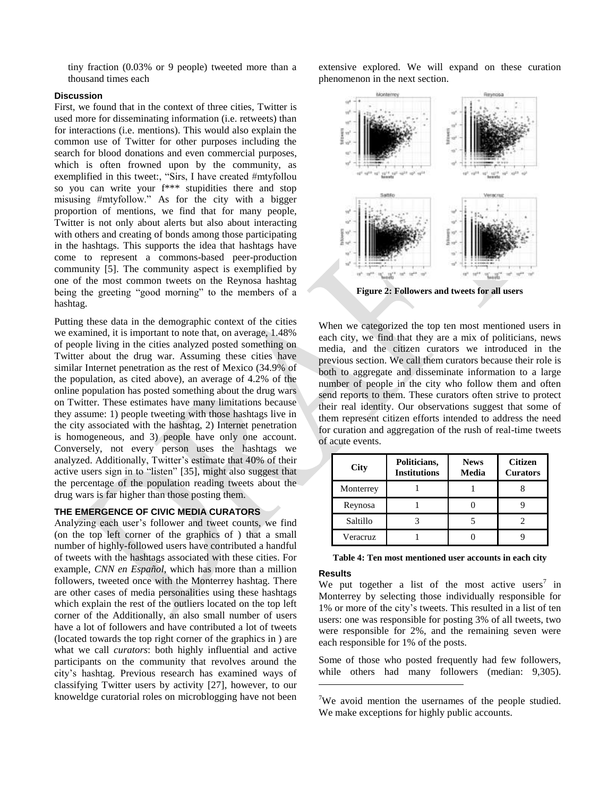tiny fraction (0.03% or 9 people) tweeted more than a thousand times each

#### **Discussion**

First, we found that in the context of three cities, Twitter is used more for disseminating information (i.e. retweets) than for interactions (i.e. mentions). This would also explain the common use of Twitter for other purposes including the search for blood donations and even commercial purposes, which is often frowned upon by the community, as exemplified in this tweet:, "Sirs, I have created #mtyfollou so you can write your f\*\*\* stupidities there and stop misusing #mtyfollow." As for the city with a bigger proportion of mentions, we find that for many people, Twitter is not only about alerts but also about interacting with others and creating of bonds among those participating in the hashtags. This supports the idea that hashtags have come to represent a commons-based peer-production community [5]. The community aspect is exemplified by one of the most common tweets on the Reynosa hashtag being the greeting "good morning" to the members of a hashtag.

Putting these data in the demographic context of the cities we examined, it is important to note that, on average, 1.48% of people living in the cities analyzed posted something on Twitter about the drug war. Assuming these cities have similar Internet penetration as the rest of Mexico (34.9% of the population, as cited above), an average of 4.2% of the online population has posted something about the drug wars on Twitter. These estimates have many limitations because they assume: 1) people tweeting with those hashtags live in the city associated with the hashtag, 2) Internet penetration is homogeneous, and 3) people have only one account. Conversely, not every person uses the hashtags we analyzed. Additionally, Twitter's estimate that 40% of their active users sign in to "listen" [35], might also suggest that the percentage of the population reading tweets about the drug wars is far higher than those posting them.

# **THE EMERGENCE OF CIVIC MEDIA CURATORS**

Analyzing each user's follower and tweet counts, we find (on the top left corner of the graphics of ) that a small number of highly-followed users have contributed a handful of tweets with the hashtags associated with these cities. For example, *CNN en Español*, which has more than a million followers, tweeted once with the Monterrey hashtag. There are other cases of media personalities using these hashtags which explain the rest of the outliers located on the top left corner of the Additionally, an also small number of users have a lot of followers and have contributed a lot of tweets (located towards the top right corner of the graphics in ) are what we call *curators*: both highly influential and active participants on the community that revolves around the city's hashtag. Previous research has examined ways of classifying Twitter users by activity [27], however, to our knoweldge curatorial roles on microblogging have not been

extensive explored. We will expand on these curation phenomenon in the next section.



When we categorized the top ten most mentioned users in each city, we find that they are a mix of politicians, news media, and the citizen curators we introduced in the previous section. We call them curators because their role is both to aggregate and disseminate information to a large number of people in the city who follow them and often send reports to them. These curators often strive to protect their real identity. Our observations suggest that some of them represent citizen efforts intended to address the need for curation and aggregation of the rush of real-time tweets of acute events.

| <b>City</b> | Politicians,<br><b>Institutions</b> | <b>News</b><br>Media | <b>Citizen</b><br><b>Curators</b> |
|-------------|-------------------------------------|----------------------|-----------------------------------|
| Monterrey   |                                     |                      |                                   |
| Reynosa     |                                     |                      |                                   |
| Saltillo    |                                     |                      |                                   |
| Veracruz    |                                     |                      |                                   |

#### **Results**

l

We put together a list of the most active users<sup>7</sup> in Monterrey by selecting those individually responsible for 1% or more of the city's tweets. This resulted in a list of ten users: one was responsible for posting 3% of all tweets, two were responsible for 2%, and the remaining seven were each responsible for 1% of the posts.

Some of those who posted frequently had few followers, while others had many followers (median: 9,305).

<sup>&</sup>lt;sup>7</sup>We avoid mention the usernames of the people studied. We make exceptions for highly public accounts.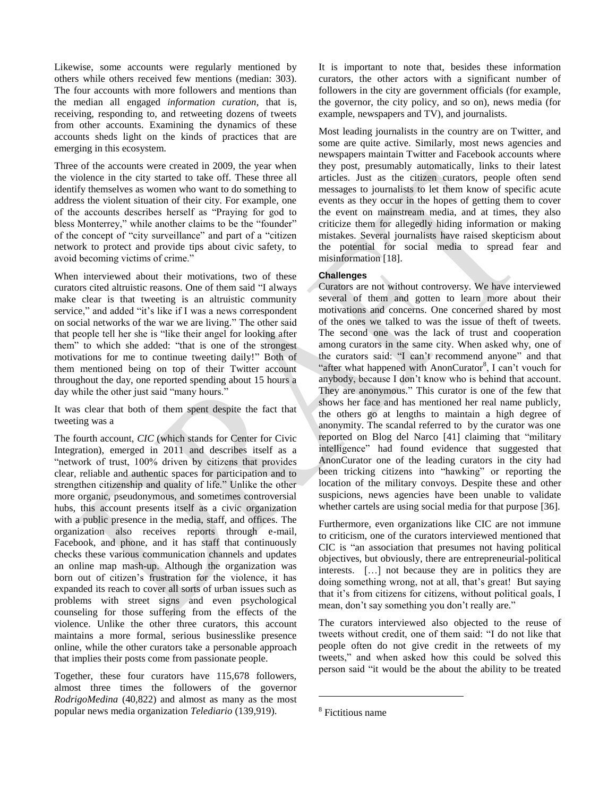Likewise, some accounts were regularly mentioned by others while others received few mentions (median: 303). The four accounts with more followers and mentions than the median all engaged *information curation*, that is, receiving, responding to, and retweeting dozens of tweets from other accounts. Examining the dynamics of these accounts sheds light on the kinds of practices that are emerging in this ecosystem.

Three of the accounts were created in 2009, the year when the violence in the city started to take off. These three all identify themselves as women who want to do something to address the violent situation of their city. For example, one of the accounts describes herself as "Praying for god to bless Monterrey," while another claims to be the "founder" of the concept of "city surveillance" and part of a "citizen network to protect and provide tips about civic safety, to avoid becoming victims of crime."

When interviewed about their motivations, two of these curators cited altruistic reasons. One of them said "I always make clear is that tweeting is an altruistic community service," and added "it's like if I was a news correspondent on social networks of the war we are living." The other said that people tell her she is "like their angel for looking after them" to which she added: "that is one of the strongest motivations for me to continue tweeting daily!" Both of them mentioned being on top of their Twitter account throughout the day, one reported spending about 15 hours a day while the other just said "many hours."

It was clear that both of them spent despite the fact that tweeting was a

The fourth account, *CIC* (which stands for Center for Civic Integration), emerged in 2011 and describes itself as a "network of trust, 100% driven by citizens that provides clear, reliable and authentic spaces for participation and to strengthen citizenship and quality of life." Unlike the other more organic, pseudonymous, and sometimes controversial hubs, this account presents itself as a civic organization with a public presence in the media, staff, and offices. The organization also receives reports through e-mail, Facebook, and phone, and it has staff that continuously checks these various communication channels and updates an online map mash-up. Although the organization was born out of citizen's frustration for the violence, it has expanded its reach to cover all sorts of urban issues such as problems with street signs and even psychological counseling for those suffering from the effects of the violence. Unlike the other three curators, this account maintains a more formal, serious businesslike presence online, while the other curators take a personable approach that implies their posts come from passionate people.

Together, these four curators have 115,678 followers, almost three times the followers of the governor *RodrigoMedina* (40,822) and almost as many as the most popular news media organization *Telediario* (139,919).

It is important to note that, besides these information curators, the other actors with a significant number of followers in the city are government officials (for example, the governor, the city policy, and so on), news media (for example, newspapers and TV), and journalists.

Most leading journalists in the country are on Twitter, and some are quite active. Similarly, most news agencies and newspapers maintain Twitter and Facebook accounts where they post, presumably automatically, links to their latest articles. Just as the citizen curators, people often send messages to journalists to let them know of specific acute events as they occur in the hopes of getting them to cover the event on mainstream media, and at times, they also criticize them for allegedly hiding information or making mistakes. Several journalists have raised skepticism about the potential for social media to spread fear and misinformation [18].

## **Challenges**

Curators are not without controversy. We have interviewed several of them and gotten to learn more about their motivations and concerns. One concerned shared by most of the ones we talked to was the issue of theft of tweets. The second one was the lack of trust and cooperation among curators in the same city. When asked why, one of the curators said: "I can't recommend anyone" and that "after what happened with AnonCurator<sup>8</sup>, I can't vouch for anybody, because I don't know who is behind that account. They are anonymous." This curator is one of the few that shows her face and has mentioned her real name publicly, the others go at lengths to maintain a high degree of anonymity. The scandal referred to by the curator was one reported on Blog del Narco [41] claiming that "military intelligence" had found evidence that suggested that AnonCurator one of the leading curators in the city had been tricking citizens into "hawking" or reporting the location of the military convoys. Despite these and other suspicions, news agencies have been unable to validate whether cartels are using social media for that purpose [36].

Furthermore, even organizations like CIC are not immune to criticism, one of the curators interviewed mentioned that CIC is "an association that presumes not having political objectives, but obviously, there are entrepreneurial-political interests. […] not because they are in politics they are doing something wrong, not at all, that's great! But saying that it's from citizens for citizens, without political goals, I mean, don't say something you don't really are."

The curators interviewed also objected to the reuse of tweets without credit, one of them said: "I do not like that people often do not give credit in the retweets of my tweets," and when asked how this could be solved this person said "it would be the about the ability to be treated

l

<sup>8</sup> Fictitious name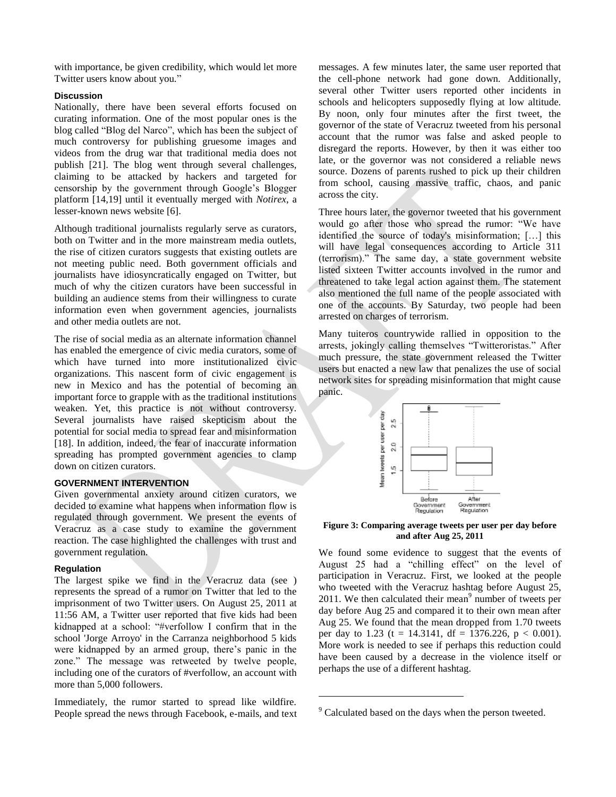with importance, be given credibility, which would let more Twitter users know about you."

#### **Discussion**

Nationally, there have been several efforts focused on curating information. One of the most popular ones is the blog called "Blog del Narco", which has been the subject of much controversy for publishing gruesome images and videos from the drug war that traditional media does not publish [21]. The blog went through several challenges, claiming to be attacked by hackers and targeted for censorship by the government through Google's Blogger platform [14,19] until it eventually merged with *Notirex*, a lesser-known news website [6].

Although traditional journalists regularly serve as curators, both on Twitter and in the more mainstream media outlets, the rise of citizen curators suggests that existing outlets are not meeting public need. Both government officials and journalists have idiosyncratically engaged on Twitter, but much of why the citizen curators have been successful in building an audience stems from their willingness to curate information even when government agencies, journalists and other media outlets are not.

The rise of social media as an alternate information channel has enabled the emergence of civic media curators, some of which have turned into more institutionalized civic organizations. This nascent form of civic engagement is new in Mexico and has the potential of becoming an important force to grapple with as the traditional institutions weaken. Yet, this practice is not without controversy. Several journalists have raised skepticism about the potential for social media to spread fear and misinformation [18]. In addition, indeed, the fear of inaccurate information spreading has prompted government agencies to clamp down on citizen curators.

## **GOVERNMENT INTERVENTION**

Given governmental anxiety around citizen curators, we decided to examine what happens when information flow is regulated through government. We present the events of Veracruz as a case study to examine the government reaction. The case highlighted the challenges with trust and government regulation.

#### **Regulation**

The largest spike we find in the Veracruz data (see ) represents the spread of a rumor on Twitter that led to the imprisonment of two Twitter users. On August 25, 2011 at 11:56 AM, a Twitter user reported that five kids had been kidnapped at a school: "#verfollow I confirm that in the school 'Jorge Arroyo' in the Carranza neighborhood 5 kids were kidnapped by an armed group, there's panic in the zone." The message was retweeted by twelve people, including one of the curators of #verfollow, an account with more than 5,000 followers.

Immediately, the rumor started to spread like wildfire. People spread the news through Facebook, e-mails, and text messages. A few minutes later, the same user reported that the cell-phone network had gone down. Additionally, several other Twitter users reported other incidents in schools and helicopters supposedly flying at low altitude. By noon, only four minutes after the first tweet, the governor of the state of Veracruz tweeted from his personal account that the rumor was false and asked people to disregard the reports. However, by then it was either too late, or the governor was not considered a reliable news source. Dozens of parents rushed to pick up their children from school, causing massive traffic, chaos, and panic across the city.

Three hours later, the governor tweeted that his government would go after those who spread the rumor: "We have identified the source of today's misinformation; […] this will have legal consequences according to Article 311 (terrorism)." The same day, a state government website listed sixteen Twitter accounts involved in the rumor and threatened to take legal action against them. The statement also mentioned the full name of the people associated with one of the accounts. By Saturday, two people had been arrested on charges of terrorism.

Many tuiteros countrywide rallied in opposition to the arrests, jokingly calling themselves "Twitteroristas." After much pressure, the state government released the Twitter users but enacted a new law that penalizes the use of social network sites for spreading misinformation that might cause panic.



**Figure 3: Comparing average tweets per user per day before and after Aug 25, 2011**

We found some evidence to suggest that the events of August 25 had a "chilling effect" on the level of participation in Veracruz. First, we looked at the people who tweeted with the Veracruz hashtag before August 25, 2011. We then calculated their mean $9$  number of tweets per day before Aug 25 and compared it to their own mean after Aug 25. We found that the mean dropped from 1.70 tweets per day to 1.23 (t = 14.3141, df = 1376.226, p < 0.001). More work is needed to see if perhaps this reduction could have been caused by a decrease in the violence itself or perhaps the use of a different hashtag.

l

<sup>&</sup>lt;sup>9</sup> Calculated based on the days when the person tweeted.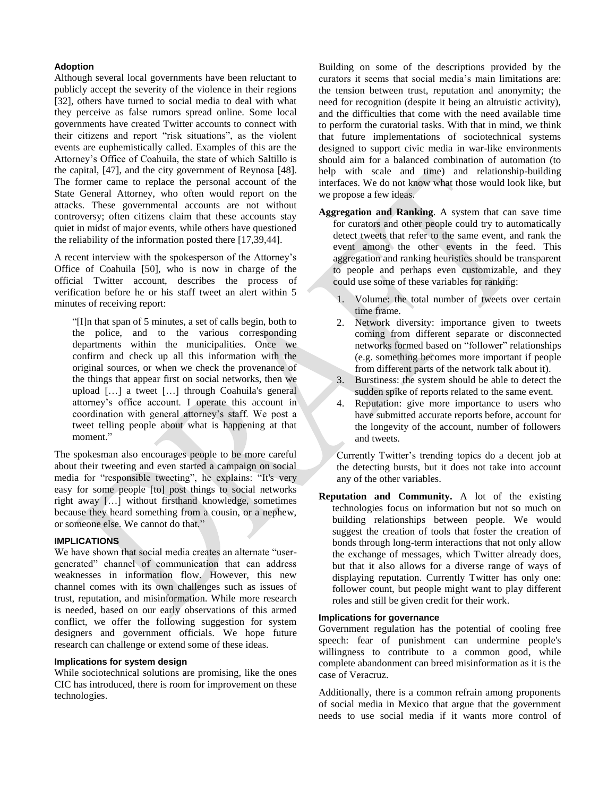## **Adoption**

Although several local governments have been reluctant to publicly accept the severity of the violence in their regions [32], others have turned to social media to deal with what they perceive as false rumors spread online. Some local governments have created Twitter accounts to connect with their citizens and report "risk situations", as the violent events are euphemistically called. Examples of this are the Attorney's Office of Coahuila, the state of which Saltillo is the capital, [47], and the city government of Reynosa [48]. The former came to replace the personal account of the State General Attorney, who often would report on the attacks. These governmental accounts are not without controversy; often citizens claim that these accounts stay quiet in midst of major events, while others have questioned the reliability of the information posted there [17,39,44].

A recent interview with the spokesperson of the Attorney's Office of Coahuila [50], who is now in charge of the official Twitter account, describes the process of verification before he or his staff tweet an alert within 5 minutes of receiving report:

"[I]n that span of 5 minutes, a set of calls begin, both to the police, and to the various corresponding departments within the municipalities. Once we confirm and check up all this information with the original sources, or when we check the provenance of the things that appear first on social networks, then we upload […] a tweet […] through Coahuila's general attorney's office account. I operate this account in coordination with general attorney's staff. We post a tweet telling people about what is happening at that moment."

The spokesman also encourages people to be more careful about their tweeting and even started a campaign on social media for "responsible tweeting", he explains: "It's very easy for some people [to] post things to social networks right away […] without firsthand knowledge, sometimes because they heard something from a cousin, or a nephew, or someone else. We cannot do that."

## **IMPLICATIONS**

We have shown that social media creates an alternate "usergenerated" channel of communication that can address weaknesses in information flow. However, this new channel comes with its own challenges such as issues of trust, reputation, and misinformation. While more research is needed, based on our early observations of this armed conflict, we offer the following suggestion for system designers and government officials. We hope future research can challenge or extend some of these ideas.

## **Implications for system design**

While sociotechnical solutions are promising, like the ones CIC has introduced, there is room for improvement on these technologies.

Building on some of the descriptions provided by the curators it seems that social media's main limitations are: the tension between trust, reputation and anonymity; the need for recognition (despite it being an altruistic activity), and the difficulties that come with the need available time to perform the curatorial tasks. With that in mind, we think that future implementations of sociotechnical systems designed to support civic media in war-like environments should aim for a balanced combination of automation (to help with scale and time) and relationship-building interfaces. We do not know what those would look like, but we propose a few ideas.

- **Aggregation and Ranking**. A system that can save time for curators and other people could try to automatically detect tweets that refer to the same event, and rank the event among the other events in the feed. This aggregation and ranking heuristics should be transparent to people and perhaps even customizable, and they could use some of these variables for ranking:
	- 1. Volume: the total number of tweets over certain time frame.
	- 2. Network diversity: importance given to tweets coming from different separate or disconnected networks formed based on "follower" relationships (e.g. something becomes more important if people from different parts of the network talk about it).
	- 3. Burstiness: the system should be able to detect the sudden spike of reports related to the same event.
	- 4. Reputation: give more importance to users who have submitted accurate reports before, account for the longevity of the account, number of followers and tweets.

Currently Twitter's trending topics do a decent job at the detecting bursts, but it does not take into account any of the other variables.

**Reputation and Community.** A lot of the existing technologies focus on information but not so much on building relationships between people. We would suggest the creation of tools that foster the creation of bonds through long-term interactions that not only allow the exchange of messages, which Twitter already does, but that it also allows for a diverse range of ways of displaying reputation. Currently Twitter has only one: follower count, but people might want to play different roles and still be given credit for their work.

#### **Implications for governance**

Government regulation has the potential of cooling free speech: fear of punishment can undermine people's willingness to contribute to a common good, while complete abandonment can breed misinformation as it is the case of Veracruz.

Additionally, there is a common refrain among proponents of social media in Mexico that argue that the government needs to use social media if it wants more control of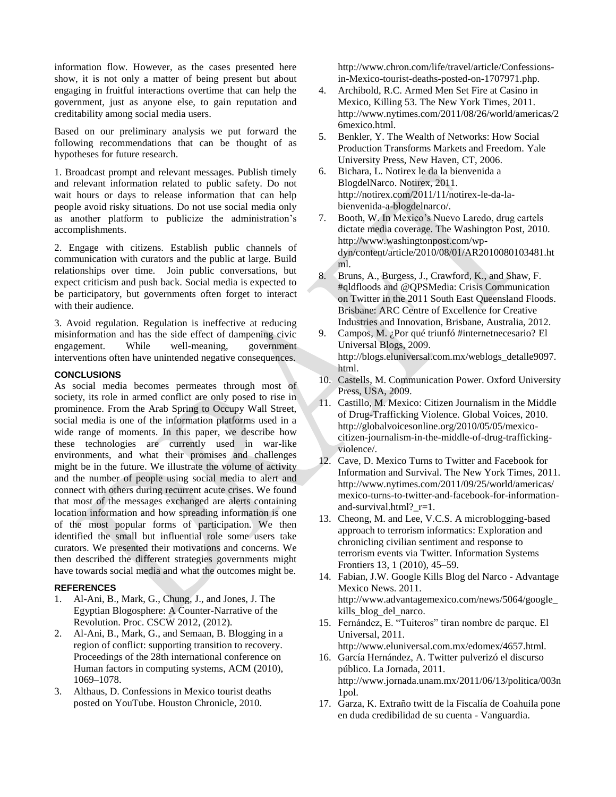information flow. However, as the cases presented here show, it is not only a matter of being present but about engaging in fruitful interactions overtime that can help the government, just as anyone else, to gain reputation and creditability among social media users.

Based on our preliminary analysis we put forward the following recommendations that can be thought of as hypotheses for future research.

1. Broadcast prompt and relevant messages. Publish timely and relevant information related to public safety. Do not wait hours or days to release information that can help people avoid risky situations. Do not use social media only as another platform to publicize the administration's accomplishments.

2. Engage with citizens. Establish public channels of communication with curators and the public at large. Build relationships over time. Join public conversations, but expect criticism and push back. Social media is expected to be participatory, but governments often forget to interact with their audience.

3. Avoid regulation. Regulation is ineffective at reducing misinformation and has the side effect of dampening civic engagement. While well-meaning, government interventions often have unintended negative consequences.

## **CONCLUSIONS**

As social media becomes permeates through most of society, its role in armed conflict are only posed to rise in prominence. From the Arab Spring to Occupy Wall Street, social media is one of the information platforms used in a wide range of moments. In this paper, we describe how these technologies are currently used in war-like environments, and what their promises and challenges might be in the future. We illustrate the volume of activity and the number of people using social media to alert and connect with others during recurrent acute crises. We found that most of the messages exchanged are alerts containing location information and how spreading information is one of the most popular forms of participation. We then identified the small but influential role some users take curators. We presented their motivations and concerns. We then described the different strategies governments might have towards social media and what the outcomes might be.

## **REFERENCES**

- 1. Al-Ani, B., Mark, G., Chung, J., and Jones, J. The Egyptian Blogosphere: A Counter-Narrative of the Revolution. Proc. CSCW 2012, (2012).
- 2. Al-Ani, B., Mark, G., and Semaan, B. Blogging in a region of conflict: supporting transition to recovery. Proceedings of the 28th international conference on Human factors in computing systems, ACM (2010), 1069–1078.
- 3. Althaus, D. Confessions in Mexico tourist deaths posted on YouTube. Houston Chronicle, 2010.

http://www.chron.com/life/travel/article/Confessionsin-Mexico-tourist-deaths-posted-on-1707971.php.

- 4. Archibold, R.C. Armed Men Set Fire at Casino in Mexico, Killing 53. The New York Times, 2011. http://www.nytimes.com/2011/08/26/world/americas/2 6mexico.html.
- 5. Benkler, Y. The Wealth of Networks: How Social Production Transforms Markets and Freedom. Yale University Press, New Haven, CT, 2006.
- 6. Bichara, L. Notirex le da la bienvenida a BlogdelNarco. Notirex, 2011. http://notirex.com/2011/11/notirex-le-da-labienvenida-a-blogdelnarco/.
- 7. Booth, W. In Mexico's Nuevo Laredo, drug cartels dictate media coverage. The Washington Post, 2010. http://www.washingtonpost.com/wpdyn/content/article/2010/08/01/AR2010080103481.ht ml.
- 8. Bruns, A., Burgess, J., Crawford, K., and Shaw, F. #qldfloods and @QPSMedia: Crisis Communication on Twitter in the 2011 South East Queensland Floods. Brisbane: ARC Centre of Excellence for Creative Industries and Innovation, Brisbane, Australia, 2012.
- 9. Campos, M. ¿Por qué triunfó #internetnecesario? El Universal Blogs, 2009. http://blogs.eluniversal.com.mx/weblogs\_detalle9097. html.
- 10. Castells, M. Communication Power. Oxford University Press, USA, 2009.
- 11. Castillo, M. Mexico: Citizen Journalism in the Middle of Drug-Trafficking Violence. Global Voices, 2010. http://globalvoicesonline.org/2010/05/05/mexicocitizen-journalism-in-the-middle-of-drug-traffickingviolence/.
- 12. Cave, D. Mexico Turns to Twitter and Facebook for Information and Survival. The New York Times, 2011. http://www.nytimes.com/2011/09/25/world/americas/ mexico-turns-to-twitter-and-facebook-for-informationand-survival.html?  $r=1$ .
- 13. Cheong, M. and Lee, V.C.S. A microblogging-based approach to terrorism informatics: Exploration and chronicling civilian sentiment and response to terrorism events via Twitter. Information Systems Frontiers 13, 1 (2010), 45–59.
- 14. Fabian, J.W. Google Kills Blog del Narco Advantage Mexico News. 2011. http://www.advantagemexico.com/news/5064/google\_ kills blog del narco.
- 15. Fernández, E. "Tuiteros" tiran nombre de parque. El Universal, 2011.
- http://www.eluniversal.com.mx/edomex/4657.html. 16. García Hernández, A. Twitter pulverizó el discurso público. La Jornada, 2011.
	- http://www.jornada.unam.mx/2011/06/13/politica/003n 1pol.
- 17. Garza, K. Extraño twitt de la Fiscalía de Coahuila pone en duda credibilidad de su cuenta - Vanguardia.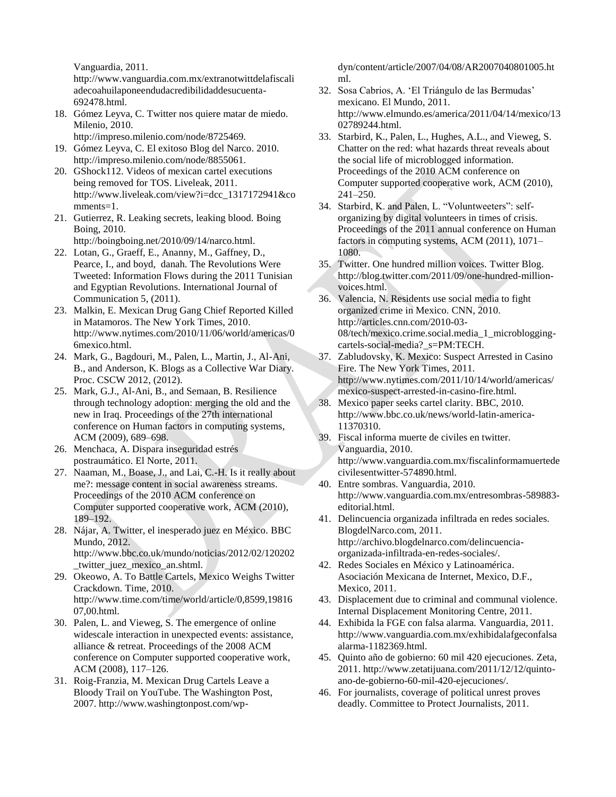Vanguardia, 2011.

http://www.vanguardia.com.mx/extranotwittdelafiscali adecoahuilaponeendudacredibilidaddesucuenta-692478.html.

- 18. Gómez Leyva, C. Twitter nos quiere matar de miedo. Milenio, 2010.
	- http://impreso.milenio.com/node/8725469.
- 19. Gómez Leyva, C. El exitoso Blog del Narco. 2010. http://impreso.milenio.com/node/8855061.
- 20. GShock112. Videos of mexican cartel executions being removed for TOS. Liveleak, 2011. http://www.liveleak.com/view?i=dcc\_1317172941&co mments=1.
- 21. Gutierrez, R. Leaking secrets, leaking blood. Boing Boing, 2010.
	- http://boingboing.net/2010/09/14/narco.html.
- 22. Lotan, G., Graeff, E., Ananny, M., Gaffney, D., Pearce, I., and boyd, danah. The Revolutions Were Tweeted: Information Flows during the 2011 Tunisian and Egyptian Revolutions. International Journal of Communication 5, (2011).
- 23. Malkin, E. Mexican Drug Gang Chief Reported Killed in Matamoros. The New York Times, 2010. http://www.nytimes.com/2010/11/06/world/americas/0 6mexico.html.
- 24. Mark, G., Bagdouri, M., Palen, L., Martin, J., Al-Ani, B., and Anderson, K. Blogs as a Collective War Diary. Proc. CSCW 2012, (2012).
- 25. Mark, G.J., Al-Ani, B., and Semaan, B. Resilience through technology adoption: merging the old and the new in Iraq. Proceedings of the 27th international conference on Human factors in computing systems, ACM (2009), 689–698.
- 26. Menchaca, A. Dispara inseguridad estrés postraumático. El Norte, 2011.
- 27. Naaman, M., Boase, J., and Lai, C.-H. Is it really about me?: message content in social awareness streams. Proceedings of the 2010 ACM conference on Computer supported cooperative work, ACM (2010), 189–192.
- 28. Nájar, A. Twitter, el inesperado juez en México. BBC Mundo, 2012. http://www.bbc.co.uk/mundo/noticias/2012/02/120202 \_twitter\_juez\_mexico\_an.shtml.
- 29. Okeowo, A. To Battle Cartels, Mexico Weighs Twitter Crackdown. Time, 2010. http://www.time.com/time/world/article/0,8599,19816 07,00.html.
- 30. Palen, L. and Vieweg, S. The emergence of online widescale interaction in unexpected events: assistance, alliance & retreat. Proceedings of the 2008 ACM conference on Computer supported cooperative work, ACM (2008), 117–126.
- 31. Roig-Franzia, M. Mexican Drug Cartels Leave a Bloody Trail on YouTube. The Washington Post, 2007. http://www.washingtonpost.com/wp-

dyn/content/article/2007/04/08/AR2007040801005.ht ml.

- 32. Sosa Cabrios, A. 'El Triángulo de las Bermudas' mexicano. El Mundo, 2011. http://www.elmundo.es/america/2011/04/14/mexico/13 02789244.html.
- 33. Starbird, K., Palen, L., Hughes, A.L., and Vieweg, S. Chatter on the red: what hazards threat reveals about the social life of microblogged information. Proceedings of the 2010 ACM conference on Computer supported cooperative work, ACM (2010), 241–250.
- 34. Starbird, K. and Palen, L. "Voluntweeters": selforganizing by digital volunteers in times of crisis. Proceedings of the 2011 annual conference on Human factors in computing systems, ACM (2011), 1071– 1080.
- 35. Twitter. One hundred million voices. Twitter Blog. http://blog.twitter.com/2011/09/one-hundred-millionvoices.html.
- 36. Valencia, N. Residents use social media to fight organized crime in Mexico. CNN, 2010. http://articles.cnn.com/2010-03- 08/tech/mexico.crime.social.media\_1\_microbloggingcartels-social-media?\_s=PM:TECH.
- 37. Zabludovsky, K. Mexico: Suspect Arrested in Casino Fire. The New York Times, 2011. http://www.nytimes.com/2011/10/14/world/americas/ mexico-suspect-arrested-in-casino-fire.html.
- 38. Mexico paper seeks cartel clarity. BBC, 2010. http://www.bbc.co.uk/news/world-latin-america-11370310.
- 39. Fiscal informa muerte de civiles en twitter. Vanguardia, 2010. http://www.vanguardia.com.mx/fiscalinformamuertede civilesentwitter-574890.html.
- 40. Entre sombras. Vanguardia, 2010. http://www.vanguardia.com.mx/entresombras-589883 editorial.html.
- 41. Delincuencia organizada infiltrada en redes sociales. BlogdelNarco.com, 2011. http://archivo.blogdelnarco.com/delincuenciaorganizada-infiltrada-en-redes-sociales/.
- 42. Redes Sociales en México y Latinoamérica. Asociación Mexicana de Internet, Mexico, D.F., Mexico, 2011.
- 43. Displacement due to criminal and communal violence. Internal Displacement Monitoring Centre, 2011.
- 44. Exhibida la FGE con falsa alarma. Vanguardia, 2011. http://www.vanguardia.com.mx/exhibidalafgeconfalsa alarma-1182369.html.
- 45. Quinto año de gobierno: 60 mil 420 ejecuciones. Zeta, 2011. http://www.zetatijuana.com/2011/12/12/quintoano-de-gobierno-60-mil-420-ejecuciones/.
- 46. For journalists, coverage of political unrest proves deadly. Committee to Protect Journalists, 2011.